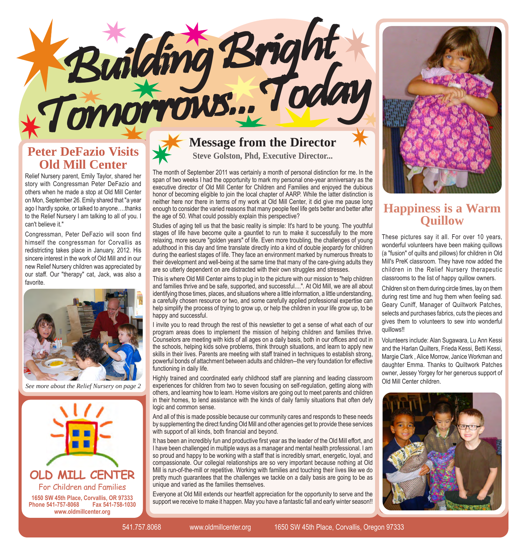#### **Peter DeFazio Visits Old Mill Center**

Relief Nursery parent, Emily Taylor, shared her story with Congressman Peter DeFazio and others when he made a stop at Old Mill Center on Mon, September 26. Emily shared that "a year ago I hardly spoke, or talked to anyone....thanks to the Relief Nursery I am talking to all of you. I can't believe it."

Congressman, Peter DeFazio will soon find himself the congressman for Corvallis as redistricting takes place in January, 2012. His sincere interest in the work of Old Mill and in our new Relief Nursery children was appreciated by our staff. Our "therapy" cat, Jack, was also a favorite.



*See more about the Relief Nursery on page 2*



## **Message from the Director**

Building Bright

**Steve Golston, Phd, Executive Director...**

The month of September 2011 was certainly a month of personal distinction for me. In the span of two weeks I had the opportunity to mark my personal one-year anniversary as the executive director of Old Mill Center for Children and Families and enjoyed the dubious honor of becoming eligible to join the local chapter of AARP. While the latter distinction is neither here nor there in terms of my work at Old Mill Center, it did give me pause long enough to consider the varied reasons that many people feel life gets better and better after the age of 50. What could possibly explain this perspective?

Studies of aging tell us that the basic reality is simple: It's hard to be young. The youthful stages of life have become quite a gauntlet to run to make it successfully to the more relaxing, more secure "golden years" of life. Even more troubling, the challenges of young adulthood in this day and time translate directly into a kind of double jeopardy for children during the earliest stages of life. They face an environment marked by numerous threats to their development and well-being at the same time that many of the care-giving adults they are so utterly dependent on are distracted with their own struggles and stresses.

This is where Old Mill Center aims to plug in to the picture with our mission to "help children and families thrive and be safe, supported, and successful....". At Old Mill, we are all about identifying those times, places, and situations where a little information, a little understanding, a carefully chosen resource or two, and some carefully applied professional expertise can help simplify the process of trying to grow up, or help the children in your life grow up, to be happy and successful.

I invite you to read through the rest of this newsletter to get a sense of what each of our program areas does to implement the mission of helping children and families thrive. Counselors are meeting with kids of all ages on a daily basis, both in our offices and out in the schools, helping kids solve problems, think through situations, and learn to apply new skills in their lives. Parents are meeting with staff trained in techniques to establish strong, powerful bonds of attachment between adults and children--the very foundation for effective functioning in daily life.

Highly trained and coordinated early childhood staff are planning and leading classroom experiences for children from two to seven focusing on self-regulation, getting along with others, and learning how to learn. Home visitors are going out to meet parents and children in their homes, to lend assistance with the kinds of daily family situations that often defy logic and common sense.

And all of this is made possible because our community cares and responds to these needs by supplementing the direct funding Old Mill and other agencies get to provide these services with support of all kinds, both financial and beyond.

It has been an incredibly fun and productive first year as the leader of the Old Mill effort, and I have been challenged in multiple ways as a manager and mental health professional. I am so proud and happy to be working with a staff that is incredibly smart, energetic, loyal, and compassionate. Our collegial relationships are so very important because nothing at Old Mill is run-of-the-mill or repetitive. Working with families and touching their lives like we do pretty much guarantees that the challenges we tackle on a daily basis are going to be as unique and varied as the families themselves.

Everyone at Old Mill extends our heartfelt appreciation for the opportunity to serve and the support we receive to make it happen. May you have a fantastic fall and early winter season!!



#### **Happiness is a Warm Quillow**

These pictures say it all. For over 10 years, wonderful volunteers have been making quillows (a "fusion" of quilts and pillows) for children in Old Mill's PreK classroom. They have now added the children in the Relief Nursery therapeutic classrooms to the list of happy quillow owners.

Children sit on them during circle times, lay on them during rest time and hug them when feeling sad. Geary Cuniff, Manager of Quiltwork Patches, selects and purchases fabrics, cuts the pieces and gives them to volunteers to sew into wonderful quillows!!

Volunteers include: Alan Sugawara, Lu Ann Kessi and the Harlan Quilters, Frieda Kessi, Betti Kessi, Margie Clark , Alice Morrow, Janice Workman and daughter Emma. Thanks to Quiltwork Patches owner, Jessey Yorgey for her generous support of Old Mill Center children.

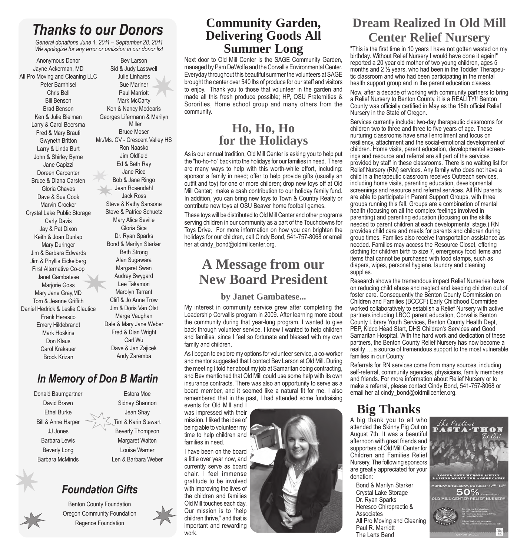## *Thanks to our Donors*

*General donations June 1, 2011 – September 28, 2011 We apologize for any error or omission in our donor list*

Anonymous Donor Jayne Ackerman, MD All Pro Moving and Cleaning LLC Peter Barnhisel Chris Bell Bill Benson Brad Benson Ken & Julie Bielman Larry & Carol Boersma Fred & Mary Brauti Gwyneth Britton Larry & Linda Burt John & Shirley Byrne Jane Capizzi Doreen Carpenter Bruce & Diana Carsten Gloria Chaves Dave & Sue Cook Marvin Crocker Crystal Lake Public Storage Carly Davis Jay & Pat Dixon Keith & Joan Dunlap Mary Duringer Jim & Barbara Edwards Jim & Phyllis Eickelberg First Alternative Co-op Janet Gambatese Marjorie Goss Mary Jane Gray,MD Tom & Jeanne Griffith Daniel Hedrick & Leslie Clautice Frank Heresco Emery Hildebrandt Mark Hoskins Don Klaus Carol Krakauer Brock Krizan

Bev Larson Sid & Judy Lasswell Julie Linhares Sue Mariner Paul Marriott Mark McCarty Ken & Nancy Medearis Georges Lifermann & Marilyn Miller Bruce Moser Mr./Ms. CV - Crescent Valley HS Ron Naasko Jim Oldfield Ed & Beth Ray Jane Rice Bob & Jane Ringo Jean Rosendahl Jack Ross Steve & Kathy Sansone Steve & Patrice Schuetz Mary Alice Seville Gloria Sica Dr. Ryan Sparks Bond & Marilyn Starker Beth Strong Alan Sugawara Margaret Swan Audrey Swygard Lee Takamori Marolyn Tarrant Cliff & Jo Anne Trow Jim & Doris Van Olst Marge Vaughan Dale & Mary Jane Weber Fred & Dian Wright Carl Wu Dave & Jan Zajicek Andy Zaremba

#### *In Memory of Don B Martin*

Donald Baumgartner David Brawn Ethel Burke Bill & Anne Harper JJ Jones Barbara Lewis Beverly Long Barbara McMinds

Estora Moe Sidney Shannon Jean Shay Tim & Karin Stewart Beverly Thompson Margaret Walton Louise Warner Len & Barbara Weber

#### *Foundation Gifts*

Benton County Foundation Oregon Community Foundation Regence Foundation

#### **Community Garden, Delivering Goods All Summer Long**

Next door to Old Mill Center is the SAGE Community Garden, managed by Pam DeWolfe and the Corvallis Environmental Center. Everyday throughout this beautiful summer the volunteers at SAGE brought the center over 540 lbs of produce for our staff and visitors to enjoy. Thank you to those that volunteer in the garden and made all this fresh produce possible; HP, OSU Fraternities & Sororities, Home school group and many others from the community.

#### **Ho, Ho, Ho for the Holidays**

As is our annual tradition, Old Mill Center is asking you to help put the "ho-ho-ho" back into the holidays for our families in need. There are many ways to help with this worth-while effort, including: sponsor a family in need; offer to help provide gifts (usually an outfit and toy) for one or more children; drop new toys off at Old Mill Center; make a cash contribution to our holiday family fund. In addition, you can bring new toys to Town & Country Realty or contribute new toys at OSU Beaver home football games.

These toys will be distributed to Old Mill Center and other programs serving children in our community as a part of the Touchdowns for Toys Drive. For more information on how you can brighten the holidays for our children, call Cindy Bond, 541-757-8068 or email her at cindy\_bond@oldmillcenter.org.

## **A Message from our New Board President**

#### **by Janet Gambatese...**

My interest in community service grew after completing the Leadership Corvallis program in 2009. After learning more about the community during that year-long program, I wanted to give back through volunteer service. I knew I wanted to help children and families, since I feel so fortunate and blessed with my own family and children.

As I began to explore my options for volunteer service, a co-worker and mentor suggested that I contact Bev Larson at Old Mill. During the meeting I told her about my job at Samaritan doing contracting, and Bev mentioned that Old Mill could use some help with its own insurance contracts. There was also an opportunity to serve as a board member, and it seemed like a natural fit for me. I also remembered that in the past, I had attended some fundraising

events for Old Mill and I was impressed with their mission. I liked the idea of being able to volunteer my time to help children and families in need.

I have been on the board a little over year now, and currently serve as board chair. I feel immense gratitude to be involved with improving the lives of the children and families Old Mill touches each day. Our mission is to "help children thrive," and that is important and rewarding work.



### **Dream Realized In Old Mill Center Relief Nursery**

"This is the first time in 10 years I have not gotten wasted on my birthday. Without Relief Nursery I would have done it again!" reported a 20 year old mother of two young children, ages 5 months and 2 ½ years, who had been in the Toddler Therapeutic classroom and who had been participating in the mental health support group and in the parent education classes.

Now, after a decade of working with community partners to bring a Relief Nursery to Benton County, it is a REALITY!! Benton County was officially certified in May as the 15th official Relief Nursery in the State of Oregon.

Services currently include: two-day therapeutic classrooms for children two to three and three to five years of age. These nurturing classrooms have small enrollment and focus on resiliency, attachment and the social-emotional development of children. Home visits, parent education, developmental screenings and resource and referral are all part of the services provided by staff in these classrooms. There is no waiting list for Relief Nursery (RN) services. Any family who does not have a child in a therapeutic classroom receives Outreach services, including home visits, parenting education, developmental screenings and resource and referral services. All RN parents are able to participate in Parent Support Groups, with three groups running this fall. Groups are a combination of mental health (focusing on all the complex feelings involved in parenting) and parenting education (focusing on the skills needed to parent children at each developmental stage.) RN provides child care and meals for parents and children during group times. Families also receive transportation assistance as needed. Families may access the Resource Closet, offering clothing for children birth to size 7, emergency food items and items that cannot be purchased with food stamps, such as diapers, wipes, personal hygiene, laundry and cleaning supplies.

Research shows the tremendous impact Relief Nurseries have on reducing child abuse and neglect and keeping children out of foster care. Consequently the Benton County Commission on Children and Families (BCCCF) Early Childhood Committee worked collaboratively to establish a Relief Nursery with active partners including LBCC parent education, Corvallis Benton County Library Youth Services, Benton County Health Dept, PEP, Kidco Head Start, DHS Children's Services and Good Samaritan Hospital. With the hard work and dedication of these partners, the Benton County Relief Nursery has now become a reality....a source of tremendous support to the most vulnerable families in our County.

Referrals for RN services come from many sources, including self-referral, community agencies, physicians, family members and friends. For more information about Relief Nursery or to make a referral, please contact Cindy Bond, 541-757-8068 or email her at cindy bond@oldmillcenter.org.

# **Big Thanks**

A big thank you to all who attended the Skinny Pig Out on August 7th. It was a beautiful afternoon with great friends and supporters of Old Mill Center for Children and Families Relief Nursery. The following sponsors are greatly appreciated for your donation:

Bond & Marilyn Starker Crystal Lake Storage Dr. Ryan Sparks Heresco Chiropractic & **Associates** All Pro Moving and Cleaning Paul R. Marriott The Lerts Band

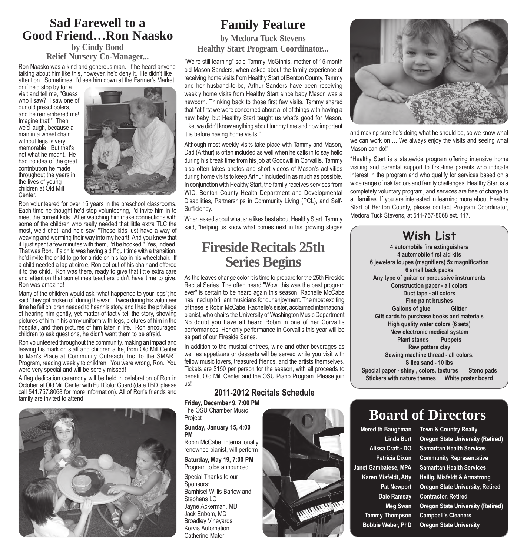#### **Sad Farewell to a Good Friend…Ron Naasko**

#### **by Cindy Bond Relief Nursery Co-Manager...**

Ron Naasko was a kind and generous man. If he heard anyone talking about him like this, however, he'd deny it. He didn't like attention. Sometimes, I'd see him down at the Farmer's Market

or if he'd stop by for a visit and tell me, "Guess who I saw? I saw one of our old preschoolers, and he remembered me! Imagine that!" Then we'd laugh, because a man in a wheel chair without legs is very memorable. But that's not what he meant. He had no idea of the great contribution he made throughout the years in the lives of young children at Old Mill **Center** 



Ron volunteered for over 15 years in the preschool classrooms. Each time he thought he'd stop volunteering, I'd invite him in to meet the current kids. After watching him make connections with some of the children who really needed that little extra TLC the most, we'd chat, and he'd say, "These kids just have a way of weaving and worming their way into my heart! And you knew that if I just spent a few minutes with them, I'd be hooked!" Yes, indeed. That was Ron. If a child was having a difficult time with a transition, he'd invite the child to go for a ride on his lap in his wheelchair. If a child needed a lap at circle, Ron got out of his chair and offered it to the child. Ron was there, ready to give that little extra care and attention that sometimes teachers didn't have time to give. Ron was amazing!

Many of the children would ask "what happened to your legs"; he said "they got broken off during the war". Twice during his volunteer time he felt children needed to hear his story, and I had the privilege of hearing him gently, yet matter-of-factly tell the story, showing pictures of him in his army uniform with legs, pictures of him in the hospital, and then pictures of him later in life. Ron encouraged children to ask questions, he didn't want them to be afraid.

Ron volunteered throughout the community, making an impact and leaving his mark on staff and children alike, from Old Mill Center to Mari's Place at Community Outreach, Inc. to the SMART Program, reading weekly to children. You were wrong, Ron. You were very special and will be sorely missed!

A flag dedication ceremony will be held in celebration of Ron in October at Old Mill Center with Full Color Guard (date TBD, please call 541.757.8068 for more information). All of Ron's friends and family are invited to attend.



#### **Family Feature**

**by Medora Tuck Stevens Healthy Start Program Coordinator...**

"We're still learning" said Tammy McGinnis, mother of 15-month old Mason Sanders, when asked about the family experience of receiving home visits from Healthy Start of Benton County. Tammy and her husband-to-be, Arthur Sanders have been receiving weekly home visits from Healthy Start since baby Mason was a newborn. Thinking back to those first few visits, Tammy shared that "at first we were concerned about a lot of things with having a new baby, but Healthy Start taught us what's good for Mason. Like, we didn't know anything about tummy time and how important it is before having home visits."

Although most weekly visits take place with Tammy and Mason, Dad (Arthur) is often included as well when he calls in to say hello during his break time from his job at Goodwill in Corvallis. Tammy also often takes photos and short videos of Mason's activities during home visits to keep Arthur included in as much as possible. In conjunction with Healthy Start, the family receives services from WIC, Benton County Health Department and Developmental Disabilities, Partnerships in Community Living (PCL), and Self-Sufficiency.

When asked about what she likes best about Healthy Start, Tammy said, "helping us know what comes next in his growing stages

#### **Fireside Recitals 25th Series Begins**

As the leaves change color it is time to prepare for the 25th Fireside Recital Series. The often heard "Wow, this was the best program ever" is certain to be heard again this season. Rachelle McCabe has lined up brilliant musicians for our enjoyment. The most exciting of these is Robin McCabe, Rachelle's sister, acclaimed international pianist, who chairs the University of Washington Music Department No doubt you have all heard Robin in one of her Corvallis performances. Her only performance in Corvallis this year will be as part of our Fireside Series.

In addition to the musical entrees, wine and other beverages as well as appetizers or desserts will be served while you visit with fellow music lovers, treasured friends, and the artists themselves. Tickets are \$150 per person for the season, with all proceeds to benefit Old Mill Center and the OSU Piano Program. Please join us!



**Friday, December 9, 7:00 PM** The OSU Chamber Music

Project **Sunday, January 15, 4:00 PM**

Robin McCabe, internationally renowned pianist, will perform

**Saturday, May 19, 7:00 PM** Program to be announced

Special Thanks to our Sponsors: Barnhisel Willis Barlow and Stephens LC Jayne Ackerman, MD Jack Enbom, MD Broadley Vineyards Korvis Automation Catherine Mater





and making sure he's doing what he should be, so we know what we can work on.... We always enjoy the visits and seeing what Mason can do!"

\*Healthy Start is a statewide program offering intensive home visiting and parental support to first-time parents who indicate interest in the program and who qualify for services based on a wide range of risk factors and family challenges. Healthy Start is a completely voluntary program, and services are free of charge to all families. If you are interested in learning more about Healthy Start of Benton County, please contact Program Coordinator, Medora Tuck Stevens, at 541-757-8068 ext. 117.

### **Wish List**

**4 automobile fire extinguishers 4 automobile first aid kits 6 jewelers loupes (magnifiers) 5x magnification 6 small back packs Any type of guitar or percussive instruments Construction paper - all colors Duct tape - all colors Fine paint brushes Gallons of glue Glitter Gift cards to purchase books and materials High quality water colors (6 sets) New electronic medical system Plant stands Puppets Raw potters clay Sewing machine thread - all colors. Silica sand - 10 lbs Special paper - shiny , colors, textures Steno pads Stickers with nature themes White poster board**

# **Board of Directors**

**Meredith Baughman Town & Country Realty Tammy Thompson Campbell's Cleaners**

**Linda Burt Oregon State University (Retired) Alissa Craft,- DO Samaritan Health Services Patricia Dixon Community Representative Janet Gambatese, MPA Samaritan Health Services Karen Misfeldt, Atty Heilig, Misfeldt & Armstrong Pat Newport Oregon State University, Retired Dale Ramsay Contractor, Retired Meg Swan Oregon State University (Retired) Bobbie Weber, PhD Oregon State University**